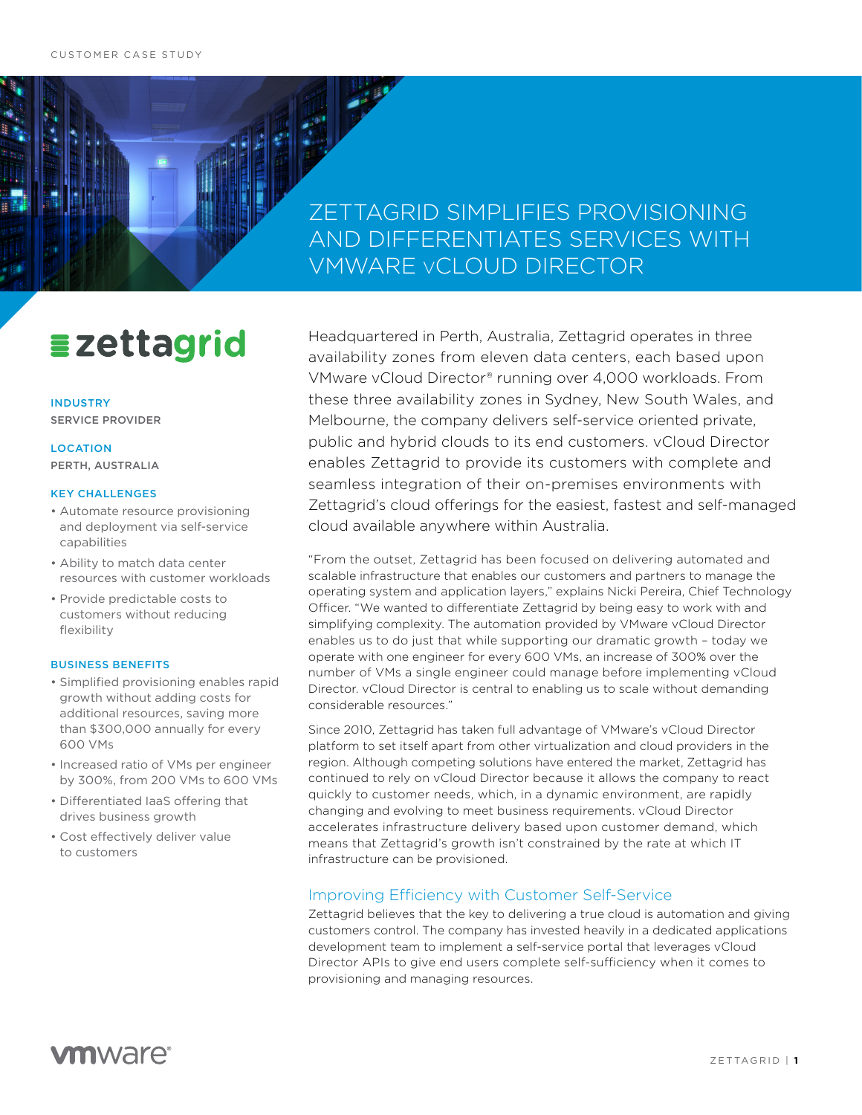### ZETTAGRID SIMPLIFIES PROVISIONING AND DIFFERENTIATES SERVICES WITH VMWARE vCLOUD DIRECTOR

# **Ezettagrid**

INDUSTRY SERVICE PROVIDER

LOCATION PERTH, AUSTRALIA

#### KEY CHALLENGES

- Automate resource provisioning and deployment via self-service capabilities
- Ability to match data center resources with customer workloads
- Provide predictable costs to customers without reducing flexibility

#### BUSINESS BENEFITS

- Simplified provisioning enables rapid growth without adding costs for additional resources, saving more than \$300,000 annually for every 600 VMs
- Increased ratio of VMs per engineer by 300%, from 200 VMs to 600 VMs
- Differentiated IaaS offering that drives business growth
- Cost effectively deliver value to customers

Headquartered in Perth, Australia, Zettagrid operates in three availability zones from eleven data centers, each based upon VMware vCloud Director® running over 4,000 workloads. From these three availability zones in Sydney, New South Wales, and Melbourne, the company delivers self-service oriented private, public and hybrid clouds to its end customers. vCloud Director enables Zettagrid to provide its customers with complete and seamless integration of their on-premises environments with Zettagrid's cloud offerings for the easiest, fastest and self-managed cloud available anywhere within Australia.

"From the outset, Zettagrid has been focused on delivering automated and scalable infrastructure that enables our customers and partners to manage the operating system and application layers," explains Nicki Pereira, Chief Technology Officer. "We wanted to differentiate Zettagrid by being easy to work with and simplifying complexity. The automation provided by VMware vCloud Director enables us to do just that while supporting our dramatic growth – today we operate with one engineer for every 600 VMs, an increase of 300% over the number of VMs a single engineer could manage before implementing vCloud Director. vCloud Director is central to enabling us to scale without demanding considerable resources."

Since 2010, Zettagrid has taken full advantage of VMware's vCloud Director platform to set itself apart from other virtualization and cloud providers in the region. Although competing solutions have entered the market, Zettagrid has continued to rely on vCloud Director because it allows the company to react quickly to customer needs, which, in a dynamic environment, are rapidly changing and evolving to meet business requirements. vCloud Director accelerates infrastructure delivery based upon customer demand, which means that Zettagrid's growth isn't constrained by the rate at which IT infrastructure can be provisioned.

### Improving Efficiency with Customer Self-Service

Zettagrid believes that the key to delivering a true cloud is automation and giving customers control. The company has invested heavily in a dedicated applications development team to implement a self-service portal that leverages vCloud Director APIs to give end users complete self-sufficiency when it comes to provisioning and managing resources.

### **vm**ware<sup>®</sup>